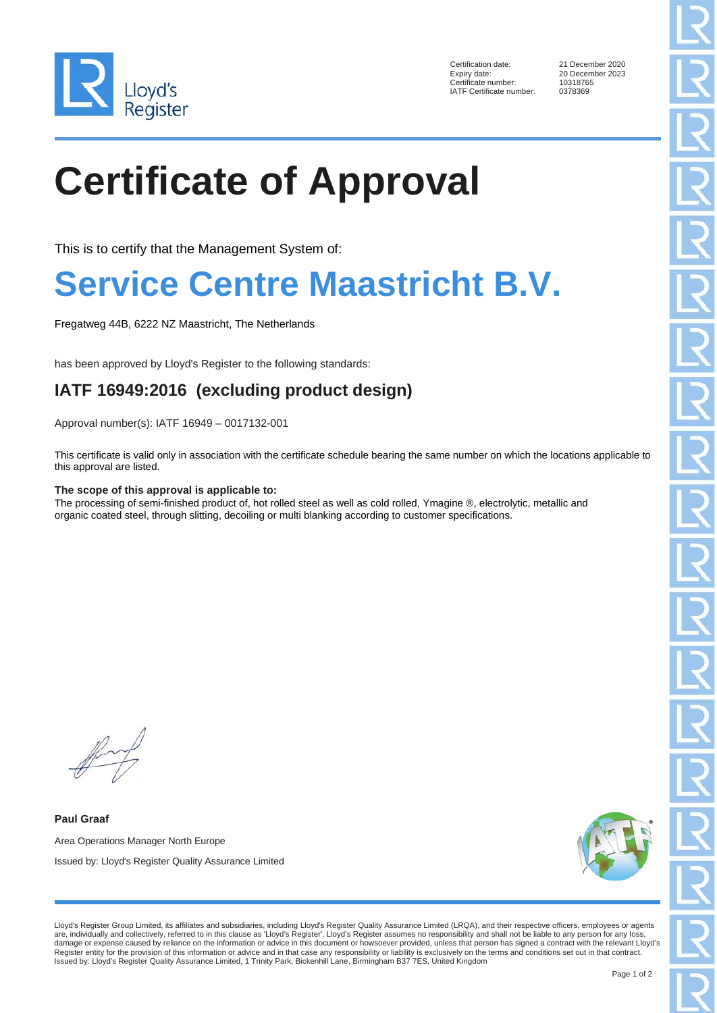

Certification date: 21 December 2020<br>Expiry date: 20 December 2023 Certificate number: IATF Certificate number: 0378369

20 December 2023<br>10318765

# **Certificate of Approval**

This is to certify that the Management System of:

### **Service Centre Maastricht B.V.**

Fregatweg 44B, 6222 NZ Maastricht, The Netherlands

has been approved by Lloyd's Register to the following standards:

### **IATF 16949:2016 (excluding product design)**

Approval number(s): IATF 16949 – 0017132-001

This certificate is valid only in association with the certificate schedule bearing the same number on which the locations applicable to this approval are listed.

#### **The scope of this approval is applicable to:**

The processing of semi-finished product of, hot rolled steel as well as cold rolled, Ymagine ®, electrolytic, metallic and organic coated steel, through slitting, decoiling or multi blanking according to customer specifications.

**Paul Graaf** Area Operations Manager North Europe Issued by: Lloyd's Register Quality Assurance Limited



Lloyd's Register Group Limited, its affiliates and subsidiaries, including Lloyd's Register Quality Assurance Limited (LRQA), and their respective officers, employees or agents are, individually and collectively, referred to in this clause as 'Lloyd's Register'. Lloyd's Register assumes no responsibility and shall not be liable to any person for any loss, damage or expense caused by reliance on the information or advice in this document or howsoever provided, unless that person has signed a contract with the relevant Lloyd's<br>Register entity for the provision of this informa Issued by: Lloyd's Register Quality Assurance Limited, 1 Trinity Park, Bickenhill Lane, Birmingham B37 7ES, United Kingdom